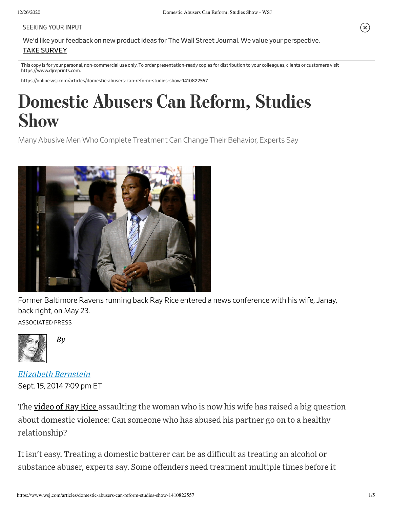## SEEKING YOUR INPUT

We'd like your feedback on new product ideas for The Wall Street Journal. We value your perspective. TAKE SURVEY

This copy is for your personal, non-commercial use only. To order presentation-ready copies for distribution to your colleagues, clients or customers visit https://www.djreprints.com.

https://online.wsj.com/articles/domestic-abusers-can-reform-studies-show-1410822557

# Domestic Abusers Can Reform, Studies Show

Many Abusive Men Who Complete Treatment Can Change Their Behavior, Experts Say



Former Baltimore Ravens running back Ray Rice entered a news conference with his wife, Janay, back right, on May 23.

ASSOCIATED PRESS



*By*

Sept. 15, 2014 7:09 pm ET *Elizabeth Bernstein*

The video of Ray Rice assaulting the woman who is now his wife has raised a big question about domestic violence: Can someone who has abused his partner go on to a healthy relationship?

It isn't easy. Treating a domestic batterer can be as difficult as treating an alcohol or substance abuser, experts say. Some offenders need treatment multiple times before it (X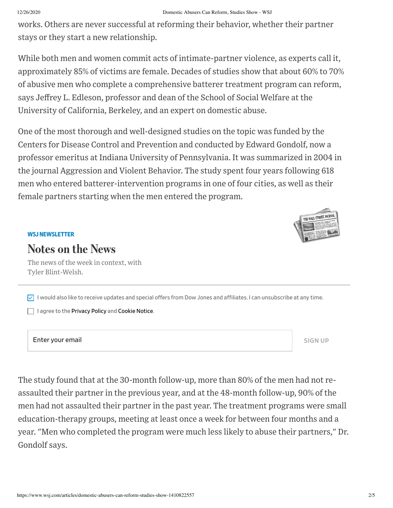## 12/26/2020 Domestic Abusers Can Reform, Studies Show - WSJ

works. Others are never successful at reforming their behavior, whether their partner stays or they start a new relationship.

While both men and women commit acts of intimate-partner violence, as experts call it, approximately 85% of victims are female. Decades of studies show that about 60% to 70% of abusive men who complete a comprehensive batterer treatment program can reform, says Jeffrey L. Edleson, professor and dean of the School of Social Welfare at the University of California, Berkeley, and an expert on domestic abuse.

One of the most thorough and well-designed studies on the topic was funded by the Centers for Disease Control and Prevention and conducted by Edward Gondolf, now a professor emeritus at Indiana University of Pennsylvania. It was summarized in 2004 in the journal Aggression and Violent Behavior. The study spent four years following 618 men who entered batterer-intervention programs in one of four cities, as well as their female partners starting when the men entered the program.



## **WSJNEWSLETTER**

## Notes on the News

The news of the week in context, with Tyler Blint-Welsh.

 $\vee$  I would also like to receive updates and special offers from Dow Jones and affiliates. I can unsubscribe at any time.

 $\Box$  I agree to the Privacy Policy and Cookie Notice.

Enter your email states and the state of the state of the state of the state of the state of the state of the state of the state of the state of the state of the state of the state of the state of the state of the state of

THE WALL STREET JOURNAL

The study found that at the 30-month follow-up, more than 80% of the men had not reassaulted their partner in the previous year, and at the 48-month follow-up, 90% of the men had not assaulted their partner in the past year. The treatment programs were small education-therapy groups, meeting at least once a week for between four months and a year. "Men who completed the program were much less likely to abuse their partners," Dr. Gondolf says.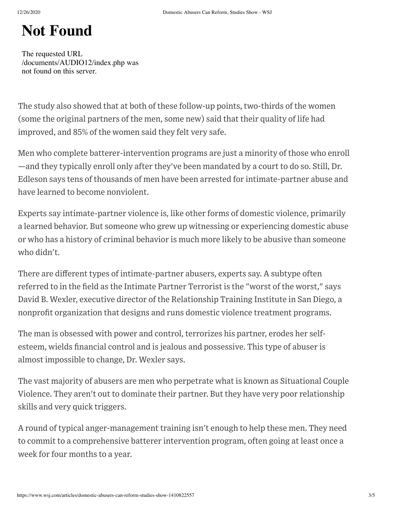# Not Found

The requested URL /documents/AUDIO12/index.php was not found on this server.

The study also showed that at both of these follow-up points, two-thirds of the women (some the original partners of the men, some new) said that their quality of life had improved, and 85% of the women said they felt very safe.

Men who complete batterer-intervention programs are just a minority of those who enroll —and they typically enroll only after they've been mandated by a court to do so. Still, Dr. Edleson says tens of thousands of men have been arrested for intimate-partner abuse and have learned to become nonviolent.

Experts say intimate-partner violence is, like other forms of domestic violence, primarily a learned behavior. But someone who grew up witnessing or experiencing domestic abuse or who has a history of criminal behavior is much more likely to be abusive than someone who didn't.

There are different types of intimate-partner abusers, experts say. A subtype often referred to in the field as the Intimate Partner Terrorist is the "worst of the worst," says David B. Wexler, executive director of the Relationship Training Institute in San Diego, a nonprofit organization that designs and runs domestic violence treatment programs.

The man is obsessed with power and control, terrorizes his partner, erodes her selfesteem, wields financial control and is jealous and possessive. This type of abuser is almost impossible to change, Dr. Wexler says.

The vast majority of abusers are men who perpetrate what is known as Situational Couple Violence. They aren't out to dominate their partner. But they have very poor relationship skills and very quick triggers.

A round of typical anger-management training isn't enough to help these men. They need to commit to a comprehensive batterer intervention program, often going at least once a week for four months to a year.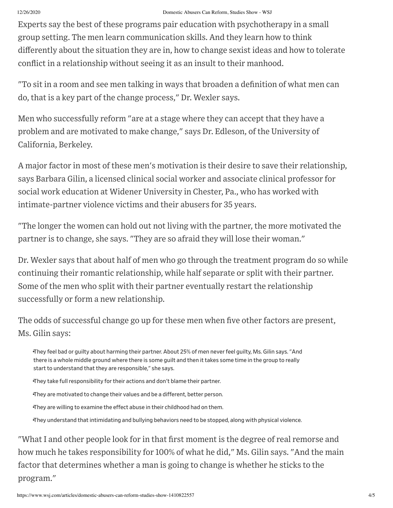### 12/26/2020 Domestic Abusers Can Reform, Studies Show - WSJ

Experts say the best of these programs pair education with psychotherapy in a small group setting. The men learn communication skills. And they learn how to think differently about the situation they are in, how to change sexist ideas and how to tolerate conflict in a relationship without seeing it as an insult to their manhood.

"To sit in a room and see men talking in ways that broaden a definition of what men can do, that is a key part of the change process," Dr. Wexler says.

Men who successfully reform "are at a stage where they can accept that they have a problem and are motivated to make change," says Dr. Edleson, of the University of California, Berkeley.

A major factor in most of these men's motivation is their desire to save their relationship, says Barbara Gilin, a licensed clinical social worker and associate clinical professor for social work education at Widener University in Chester, Pa., who has worked with intimate-partner violence victims and their abusers for 35 years.

"The longer the women can hold out not living with the partner, the more motivated the partner is to change, she says. "They are so afraid they will lose their woman."

Dr. Wexler says that about half of men who go through the treatment program do so while continuing their romantic relationship, while half separate or split with their partner. Some of the men who split with their partner eventually restart the relationship successfully or form a new relationship.

The odds of successful change go up for these men when five other factors are present, Ms. Gilin says:

They feel bad or guilty about harming their partner. About 25% of men neverfeel guilty, Ms. Gilin says. "And • there is a whole middle ground where there is some guilt and then it takes some time in the group to really start to understand that they are responsible," she says.

They take full responsibility for their actions and don't blame their partner.

They are motivated to change their values and be a different, better person.

They are willing to examine the effect abuse in their childhood had on them.

•They understand thatintimidating and bullying behaviors need to be stopped, along with physical violence.

"What I and other people look for in that first moment is the degree of real remorse and how much he takes responsibility for 100% of what he did," Ms. Gilin says. "And the main factor that determines whether a man is going to change is whether he sticks to the program."